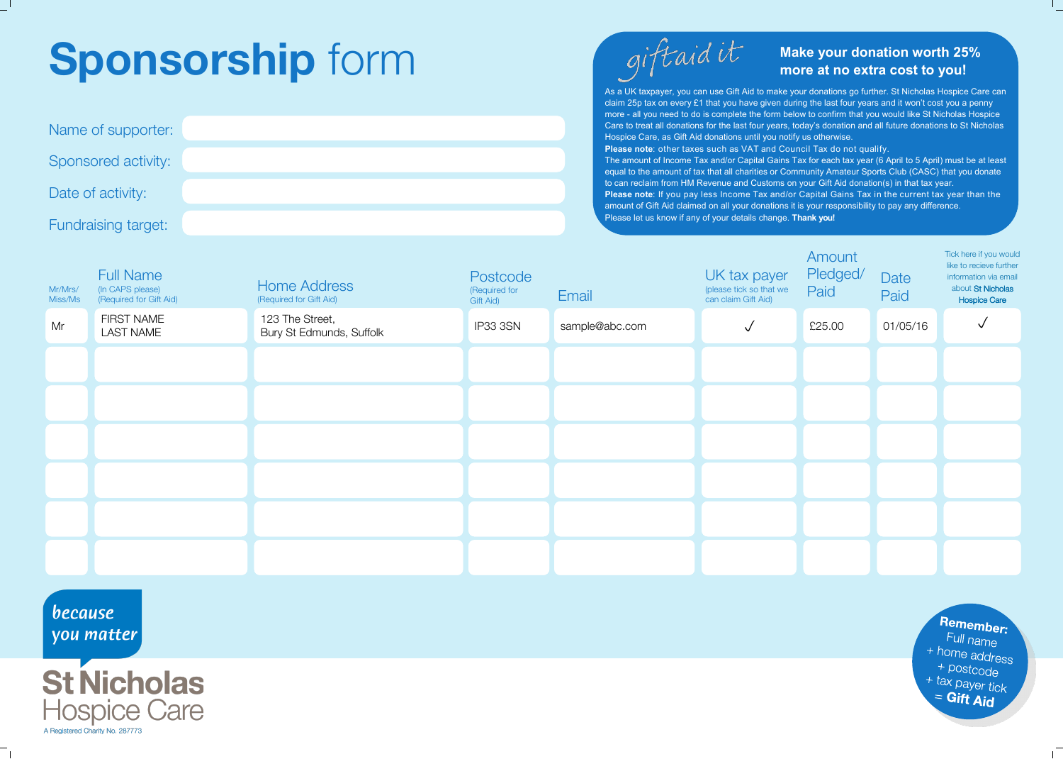## **Sponsorship** form

| Name of supporter:  |  |
|---------------------|--|
| Sponsored activity: |  |
| Date of activity:   |  |
| Fundraising target: |  |



## **Make your donation worth 25% more at no extra cost to you!**

As a UK taxpayer, you can use Gift Aid to make your donations go further. St Nicholas Hospice Care can claim 25p tax on every £1 that you have given during the last four years and it won't cost you a penny more - all you need to do is complete the form below to confirm that you would like St Nicholas Hospice Care to treat all donations for the last four years, today's donation and all future donations to St Nicholas Hospice Care, as Gift Aid donations until you notify us otherwise.

**Please note**: other taxes such as VAT and Council Tax do not qualify. The amount of Income Tax and/or Capital Gains Tax for each tax year (6 April to 5 April) must be at least equal to the amount of tax that all charities or Community Amateur Sports Club (CASC) that you donate to can reclaim from HM Revenue and Customs on your Gift Aid donation(s) in that tax year. **Please note**: If you pay less Income Tax and/or Capital Gains Tax in the current tax year than the amount of Gift Aid claimed on all your donations it is your responsibility to pay any difference. Please let us know if any of your details change. **Thank you!**

| Mr/Mrs/<br>Miss/Ms | <b>Full Name</b><br>(In CAPS please)<br>(Required for Gift Aid) | <b>Home Address</b><br>(Required for Gift Aid) | Postcode<br>(Required for<br>Gift Aid) | Email          | UK tax payer<br>(please tick so that we<br>can claim Gift Aid) | Amount<br>Pledged/<br>Paid | Date<br>Paid | Tick here if you would<br>like to recieve further<br>information via email<br>about St Nicholas<br>Hospice Care |
|--------------------|-----------------------------------------------------------------|------------------------------------------------|----------------------------------------|----------------|----------------------------------------------------------------|----------------------------|--------------|-----------------------------------------------------------------------------------------------------------------|
| Mr                 | FIRST NAME<br><b>LAST NAME</b>                                  | 123 The Street,<br>Bury St Edmunds, Suffolk    | IP33 3SN                               | sample@abc.com | ✓                                                              | £25.00                     | 01/05/16     | √                                                                                                               |
|                    |                                                                 |                                                |                                        |                |                                                                |                            |              |                                                                                                                 |
|                    |                                                                 |                                                |                                        |                |                                                                |                            |              |                                                                                                                 |
|                    |                                                                 |                                                |                                        |                |                                                                |                            |              |                                                                                                                 |
|                    |                                                                 |                                                |                                        |                |                                                                |                            |              |                                                                                                                 |
|                    |                                                                 |                                                |                                        |                |                                                                |                            |              |                                                                                                                 |
|                    |                                                                 |                                                |                                        |                |                                                                |                            |              |                                                                                                                 |

because you matter



Remember: Full name + home address  $+$  postcode + tax payer tick  $=$  Gift Aid